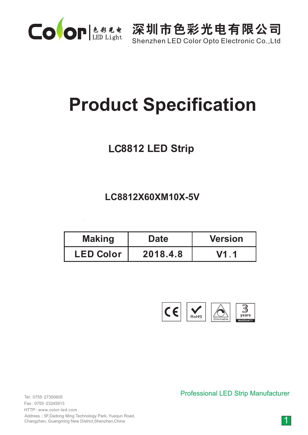

Shenzhen LED Color Opto Electronic Co.,Ltd

# **Product Specification**

# **LC8812 LED Strip**

**LC8812X60XM10X-5V**

| <b>Making</b>    | <b>Date</b> | <b>Version</b> |  |
|------------------|-------------|----------------|--|
| <b>LED Color</b> | 2018.4.8    | V1 1           |  |



0755-27350605 Tel: 0755-23245913 Fax: HTTP: www.color-led.com

Address:5F,Dadong Ming Technology Park, Yuequn Road, Changzhen, Guangming New District,Shenzhen,China

Professional LED Strip Manufacturer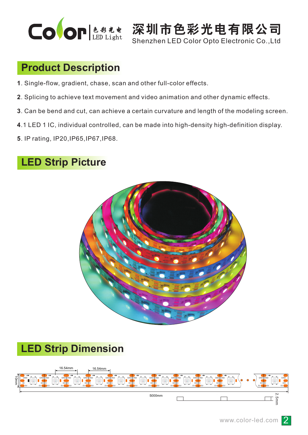

Shenzhen LED Color Opto Electronic Co.,Ltd

#### **Product Description**

- **1**. Single-flow, gradient, chase, scan and other full-color effects.
- **2**. Splicing to achieve text movement and video animation and other dynamic effects.
- **3**. Can be bend and cut, can achieve a certain curvature and length of the modeling screen.
- **4**.1 LED 1 IC, individual controlled, can be made into high-density high-definition display.
- **5**. IP rating, IP20,IP65,IP67,IP68.

## **LED Strip Picture**



## **LED Strip Dimension**

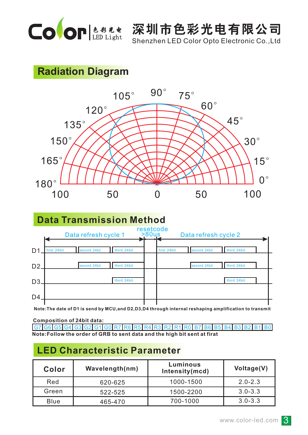

Shenzhen LED Color Opto Electronic Co.,Ltd

## **Radiation Diagram**





**Note:The date of D1 is send by MCU,and D2,D3,D4 through internal reshaping amplification to transmit**

G7 G6 G5 G4 G3 G2 G1 G0 R7 R6 R5 R4 R3 R2 R1 R0 B7 B6 B5 B4 B3 B2 B1 B0 **Composition of 24bit data: Note:Follow the order of GRB to sent data and the high bit sent at firat**

#### **LED Characteristic Parameter**

| Color       | Wavelength(nm) | Luminous<br>Intensity(mcd) | Voltage(V)  |
|-------------|----------------|----------------------------|-------------|
| Red         | 620-625        | 1000-1500                  | $2.0 - 2.3$ |
| Green       | 522-525        | 1500-2200                  | $3.0 - 3.3$ |
| <b>Blue</b> | 465-470        | 700-1000                   | $3.0 - 3.3$ |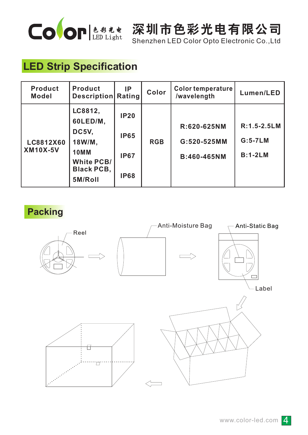

Shenzhen LED Color Opto Electronic Co.,Ltd

# **LED Strip Specification**

| <b>Product</b><br><b>Model</b> | <b>Product</b><br><b>Description</b>                                                                       | <b>IP</b><br>Rating                                      | Color      | Color temperature<br>/wavelength          | Lumen/LED                                  |
|--------------------------------|------------------------------------------------------------------------------------------------------------|----------------------------------------------------------|------------|-------------------------------------------|--------------------------------------------|
| LC8812X60<br><b>XM10X-5V</b>   | LC8812,<br>60LED/M,<br>DC5V,<br>18W/M,<br><b>10MM</b><br><b>White PCB/</b><br><b>Black PCB,</b><br>5M/Roll | <b>IP20</b><br><b>IP65</b><br><b>IP67</b><br><b>IP68</b> | <b>RGB</b> | R:620-625NM<br>G:520-525MM<br>B:460-465NM | $R:1.5 - 2.5 LM$<br>$G:5-7LM$<br>$B:1-2LM$ |

**Packing**